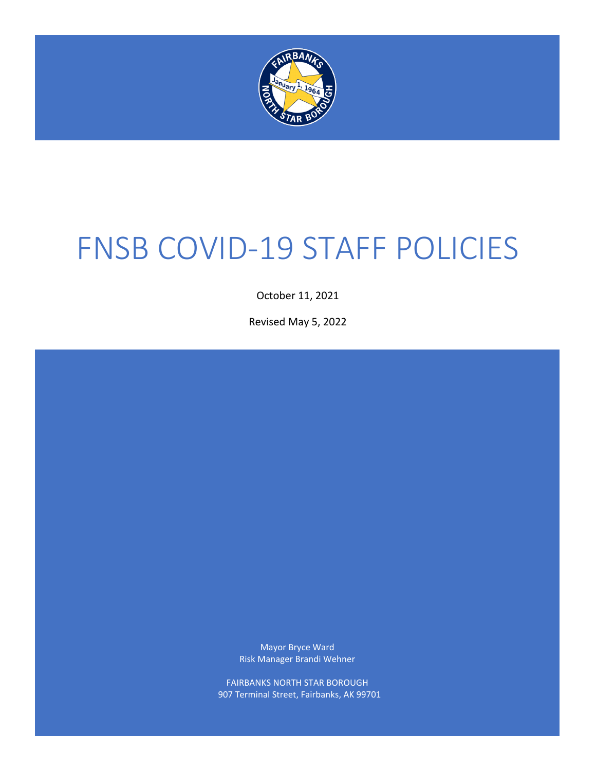

# FNSB COVID-19 STAFF POLICIES

October 11, 2021

Revised May 5, 2022

Mayor Bryce Ward Risk Manager Brandi Wehner

FAIRBANKS NORTH STAR BOROUGH 907 Terminal Street, Fairbanks, AK 99701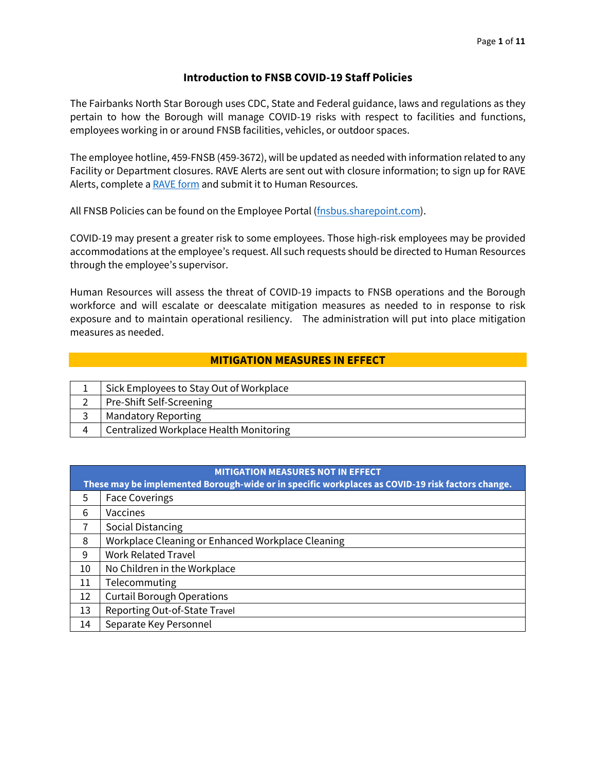## **Introduction to FNSB COVID-19 Staff Policies**

The Fairbanks North Star Borough uses CDC, State and Federal guidance, laws and regulations as they pertain to how the Borough will manage COVID-19 risks with respect to facilities and functions, employees working in or around FNSB facilities, vehicles, or outdoor spaces.

The employee hotline, 459-FNSB (459-3672), will be updated as needed with information related to any Facility or Department closures. RAVE Alerts are sent out with closure information; to sign up for RAVE Alerts, complete a [RAVE form](https://fnsbus.sharepoint.com/sites/HumanResources2/Shared%20Documents/Forms/AllItems.aspx?id=%2Fsites%2FHumanResources2%2FShared%20Documents%2FRave%20setup%20form%2Epdf&parent=%2Fsites%2FHumanResources2%2FShared%20Documents) and submit it to Human Resources.

All FNSB Policies can be found on the Employee Portal [\(fnsbus.sharepoint.com\)](https://fnsbus.sharepoint.com/sites/Covid192).

COVID-19 may present a greater risk to some employees. Those high-risk employees may be provided accommodations at the employee's request. All such requests should be directed to Human Resources through the employee's supervisor.

Human Resources will assess the threat of COVID-19 impacts to FNSB operations and the Borough workforce and will escalate or deescalate mitigation measures as needed to in response to risk exposure and to maintain operational resiliency. The administration will put into place mitigation measures as needed.

#### **MITIGATION MEASURES IN EFFECT**

| Sick Employees to Stay Out of Workplace |
|-----------------------------------------|
| Pre-Shift Self-Screening                |
| <b>Mandatory Reporting</b>              |
| Centralized Workplace Health Monitoring |

#### **MITIGATION MEASURES NOT IN EFFECT**

| These may be implemented Borough-wide or in specific workplaces as COVID-19 risk factors change. |                                                   |  |
|--------------------------------------------------------------------------------------------------|---------------------------------------------------|--|
| 5                                                                                                | <b>Face Coverings</b>                             |  |
| 6                                                                                                | Vaccines                                          |  |
| 7                                                                                                | Social Distancing                                 |  |
| 8                                                                                                | Workplace Cleaning or Enhanced Workplace Cleaning |  |
| 9                                                                                                | <b>Work Related Travel</b>                        |  |
| 10                                                                                               | No Children in the Workplace                      |  |
| 11                                                                                               | Telecommuting                                     |  |
| 12                                                                                               | <b>Curtail Borough Operations</b>                 |  |
| 13                                                                                               | Reporting Out-of-State Travel                     |  |
| 14                                                                                               | Separate Key Personnel                            |  |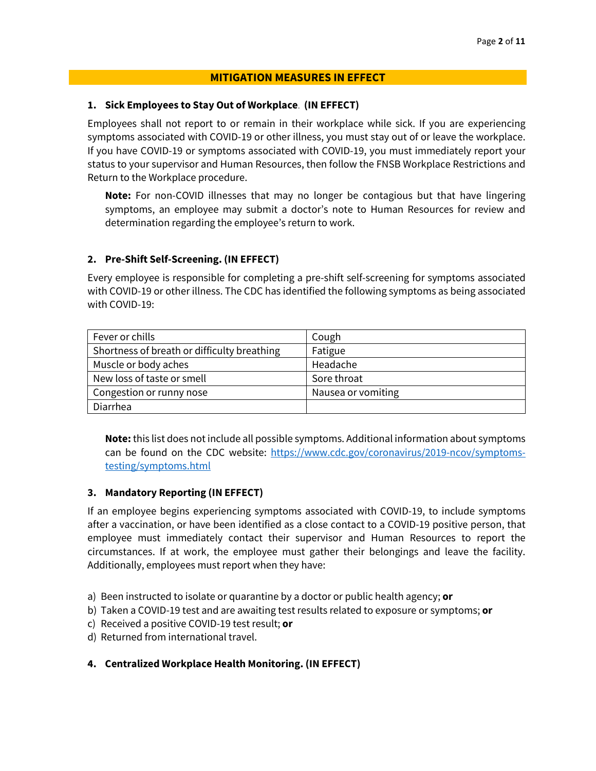#### **MITIGATION MEASURES IN EFFECT**

#### **1. Sick Employees to Stay Out of Workplace**. **(IN EFFECT)**

Employees shall not report to or remain in their workplace while sick. If you are experiencing symptoms associated with COVID-19 or other illness, you must stay out of or leave the workplace. If you have COVID-19 or symptoms associated with COVID-19, you must immediately report your status to your supervisor and Human Resources, then follow the FNSB Workplace Restrictions and Return to the Workplace procedure.

**Note:** For non-COVID illnesses that may no longer be contagious but that have lingering symptoms, an employee may submit a doctor's note to Human Resources for review and determination regarding the employee's return to work.

#### **2. Pre-Shift Self-Screening. (IN EFFECT)**

Every employee is responsible for completing a pre-shift self-screening for symptoms associated with COVID-19 or other illness. The CDC has identified the following symptoms as being associated with COVID-19:

| Fever or chills                             | Cough              |
|---------------------------------------------|--------------------|
| Shortness of breath or difficulty breathing | Fatigue            |
| Muscle or body aches                        | Headache           |
| New loss of taste or smell                  | Sore throat        |
| Congestion or runny nose                    | Nausea or vomiting |
| Diarrhea                                    |                    |

**Note:** this list does not include all possible symptoms. Additional information about symptoms can be found on the CDC website: [https://www.cdc.gov/coronavirus/2019-ncov/symptoms](https://www.cdc.gov/coronavirus/2019-ncov/symptoms-testing/symptoms.html)[testing/symptoms.html](https://www.cdc.gov/coronavirus/2019-ncov/symptoms-testing/symptoms.html) 

#### **3. Mandatory Reporting (IN EFFECT)**

If an employee begins experiencing symptoms associated with COVID-19, to include symptoms after a vaccination, or have been identified as a close contact to a COVID-19 positive person, that employee must immediately contact their supervisor and Human Resources to report the circumstances. If at work, the employee must gather their belongings and leave the facility. Additionally, employees must report when they have:

- a) Been instructed to isolate or quarantine by a doctor or public health agency; **or**
- b) Taken a COVID-19 test and are awaiting test results related to exposure or symptoms; **or**
- c) Received a positive COVID-19 test result; **or**
- d) Returned from international travel.

#### **4. Centralized Workplace Health Monitoring. (IN EFFECT)**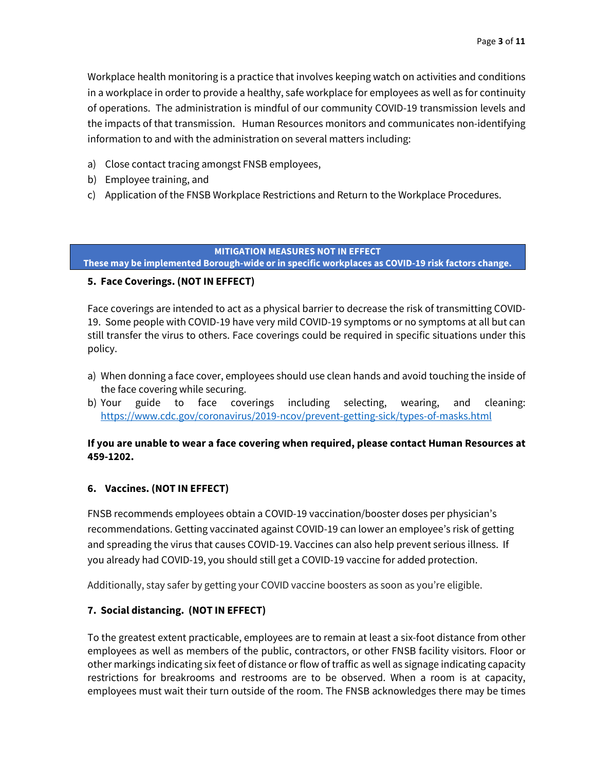Workplace health monitoring is a practice that involves keeping watch on activities and conditions in a workplace in order to provide a healthy, safe workplace for employees as well as for continuity of operations. The administration is mindful of our community COVID-19 transmission levels and the impacts of that transmission. Human Resources monitors and communicates non-identifying information to and with the administration on several matters including:

- a) Close contact tracing amongst FNSB employees,
- b) Employee training, and
- c) Application of the FNSB Workplace Restrictions and Return to the Workplace Procedures.

#### **MITIGATION MEASURES NOT IN EFFECT**

**These may be implemented Borough-wide or in specific workplaces as COVID-19 risk factors change.**

#### **5. Face Coverings. (NOT IN EFFECT)**

Face coverings are intended to act as a physical barrier to decrease the risk of transmitting COVID-19. Some people with COVID-19 have very mild COVID-19 symptoms or no symptoms at all but can still transfer the virus to others. Face coverings could be required in specific situations under this policy.

- a) When donning a face cover, employees should use clean hands and avoid touching the inside of the face covering while securing.
- b) Your guide to face coverings including selecting, wearing, and cleaning: <https://www.cdc.gov/coronavirus/2019-ncov/prevent-getting-sick/types-of-masks.html>

#### **If you are unable to wear a face covering when required, please contact Human Resources at 459-1202.**

#### **6. Vaccines. (NOT IN EFFECT)**

FNSB recommends employees obtain a COVID-19 vaccination/booster doses per physician's recommendations. Getting vaccinated against COVID-19 can lower an employee's risk of getting and spreading the virus that causes COVID-19. Vaccines can also help prevent serious illness. If you already had COVID-19, you should still get a COVID-19 vaccine for added protection.

Additionally, stay safer by getting your COVID vaccine boosters as soon as you're eligible.

#### **7. Social distancing. (NOT IN EFFECT)**

To the greatest extent practicable, employees are to remain at least a six-foot distance from other employees as well as members of the public, contractors, or other FNSB facility visitors. Floor or other markings indicating six feet of distance or flow of traffic as well as signage indicating capacity restrictions for breakrooms and restrooms are to be observed. When a room is at capacity, employees must wait their turn outside of the room. The FNSB acknowledges there may be times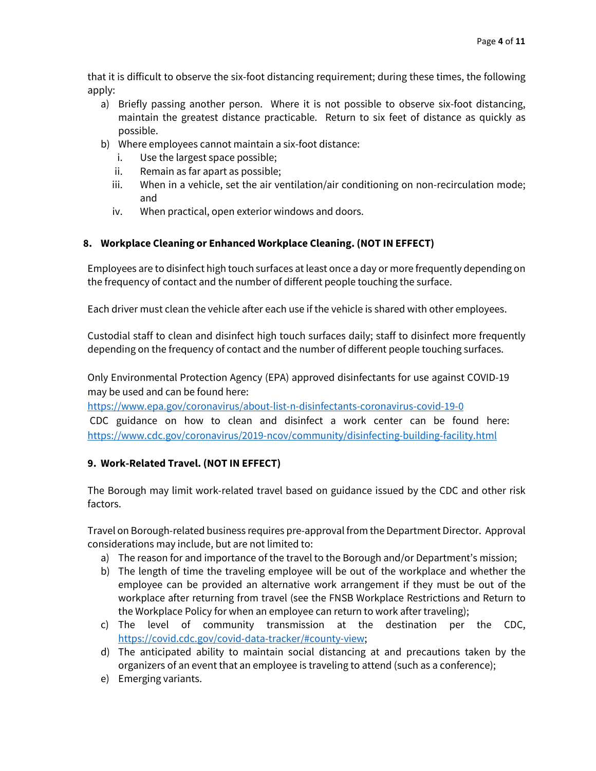that it is difficult to observe the six-foot distancing requirement; during these times, the following apply:

- a) Briefly passing another person. Where it is not possible to observe six-foot distancing, maintain the greatest distance practicable. Return to six feet of distance as quickly as possible.
- b) Where employees cannot maintain a six-foot distance:
	- i. Use the largest space possible;
	- ii. Remain as far apart as possible;
	- iii. When in a vehicle, set the air ventilation/air conditioning on non-recirculation mode; and
	- iv. When practical, open exterior windows and doors.

#### **8. Workplace Cleaning or Enhanced Workplace Cleaning. (NOT IN EFFECT)**

Employees are to disinfect high touch surfaces at least once a day or more frequently depending on the frequency of contact and the number of different people touching the surface.

Each driver must clean the vehicle after each use if the vehicle is shared with other employees.

Custodial staff to clean and disinfect high touch surfaces daily; staff to disinfect more frequently depending on the frequency of contact and the number of different people touching surfaces.

Only Environmental Protection Agency (EPA) approved disinfectants for use against COVID-19 may be used and can be found here:

<https://www.epa.gov/coronavirus/about-list-n-disinfectants-coronavirus-covid-19-0> CDC guidance on how to clean and disinfect a work center can be found here: <https://www.cdc.gov/coronavirus/2019-ncov/community/disinfecting-building-facility.html>

#### **9. Work-Related Travel. (NOT IN EFFECT)**

The Borough may limit work-related travel based on guidance issued by the CDC and other risk factors.

Travel on Borough-related business requires pre-approval from the Department Director. Approval considerations may include, but are not limited to:

- a) The reason for and importance of the travel to the Borough and/or Department's mission;
- b) The length of time the traveling employee will be out of the workplace and whether the employee can be provided an alternative work arrangement if they must be out of the workplace after returning from travel (see the FNSB Workplace Restrictions and Return to the Workplace Policy for when an employee can return to work after traveling);
- c) The level of community transmission at the destination per the CDC, [https://covid.cdc.gov/covid-data-tracker/#county-view;](https://covid.cdc.gov/covid-data-tracker/#county-view)
- d) The anticipated ability to maintain social distancing at and precautions taken by the organizers of an event that an employee is traveling to attend (such as a conference);
- e) Emerging variants.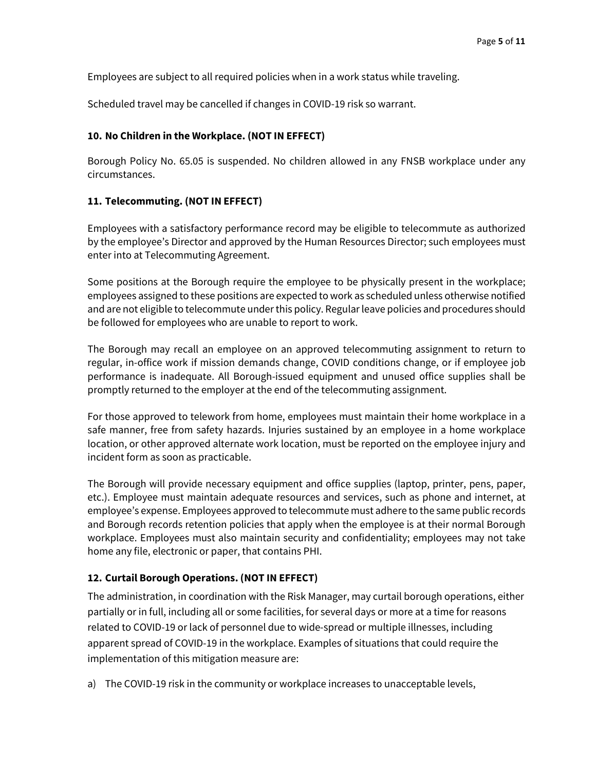Employees are subject to all required policies when in a work status while traveling.

Scheduled travel may be cancelled if changes in COVID-19 risk so warrant.

#### **10. No Children in the Workplace. (NOT IN EFFECT)**

Borough Policy No. 65.05 is suspended. No children allowed in any FNSB workplace under any circumstances.

#### **11. Telecommuting. (NOT IN EFFECT)**

Employees with a satisfactory performance record may be eligible to telecommute as authorized by the employee's Director and approved by the Human Resources Director; such employees must enter into at Telecommuting Agreement.

Some positions at the Borough require the employee to be physically present in the workplace; employees assigned to these positions are expected to work as scheduled unless otherwise notified and are not eligible to telecommute under this policy. Regular leave policies and procedures should be followed for employees who are unable to report to work.

The Borough may recall an employee on an approved telecommuting assignment to return to regular, in-office work if mission demands change, COVID conditions change, or if employee job performance is inadequate. All Borough-issued equipment and unused office supplies shall be promptly returned to the employer at the end of the telecommuting assignment.

For those approved to telework from home, employees must maintain their home workplace in a safe manner, free from safety hazards. Injuries sustained by an employee in a home workplace location, or other approved alternate work location, must be reported on the employee injury and incident form as soon as practicable.

The Borough will provide necessary equipment and office supplies (laptop, printer, pens, paper, etc.). Employee must maintain adequate resources and services, such as phone and internet, at employee's expense. Employees approved to telecommute must adhere to the same public records and Borough records retention policies that apply when the employee is at their normal Borough workplace. Employees must also maintain security and confidentiality; employees may not take home any file, electronic or paper, that contains PHI.

#### **12. Curtail Borough Operations. (NOT IN EFFECT)**

The administration, in coordination with the Risk Manager, may curtail borough operations, either partially or in full, including all or some facilities, for several days or more at a time for reasons related to COVID-19 or lack of personnel due to wide-spread or multiple illnesses, including apparent spread of COVID-19 in the workplace. Examples of situations that could require the implementation of this mitigation measure are:

a) The COVID-19 risk in the community or workplace increases to unacceptable levels,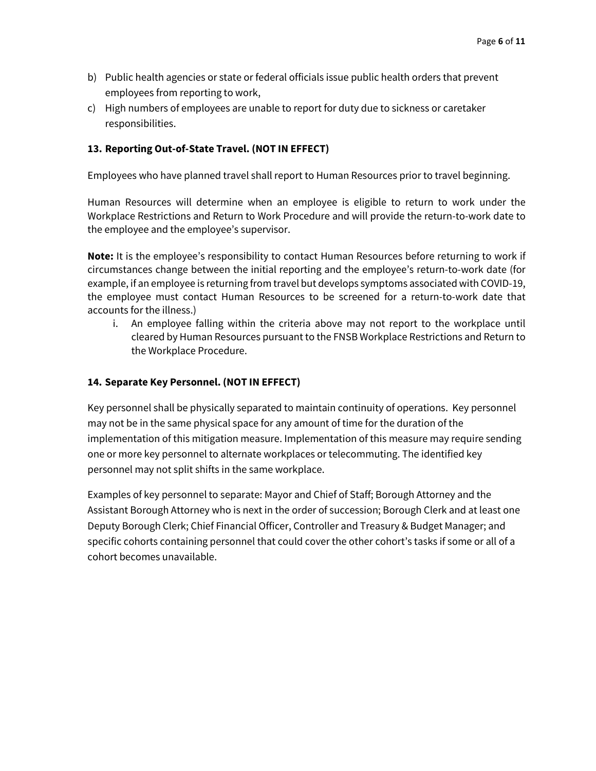- b) Public health agencies or state or federal officials issue public health orders that prevent employees from reporting to work,
- c) High numbers of employees are unable to report for duty due to sickness or caretaker responsibilities.

## **13. Reporting Out-of-State Travel. (NOT IN EFFECT)**

Employees who have planned travel shall report to Human Resources prior to travel beginning.

Human Resources will determine when an employee is eligible to return to work under the Workplace Restrictions and Return to Work Procedure and will provide the return-to-work date to the employee and the employee's supervisor.

**Note:** It is the employee's responsibility to contact Human Resources before returning to work if circumstances change between the initial reporting and the employee's return-to-work date (for example, if an employee is returning from travel but develops symptoms associated with COVID-19, the employee must contact Human Resources to be screened for a return-to-work date that accounts for the illness.)

i. An employee falling within the criteria above may not report to the workplace until cleared by Human Resources pursuant to the FNSB Workplace Restrictions and Return to the Workplace Procedure.

## **14. Separate Key Personnel. (NOT IN EFFECT)**

Key personnel shall be physically separated to maintain continuity of operations. Key personnel may not be in the same physical space for any amount of time for the duration of the implementation of this mitigation measure. Implementation of this measure may require sending one or more key personnel to alternate workplaces or telecommuting. The identified key personnel may not split shifts in the same workplace.

Examples of key personnel to separate: Mayor and Chief of Staff; Borough Attorney and the Assistant Borough Attorney who is next in the order of succession; Borough Clerk and at least one Deputy Borough Clerk; Chief Financial Officer, Controller and Treasury & Budget Manager; and specific cohorts containing personnel that could cover the other cohort's tasks if some or all of a cohort becomes unavailable.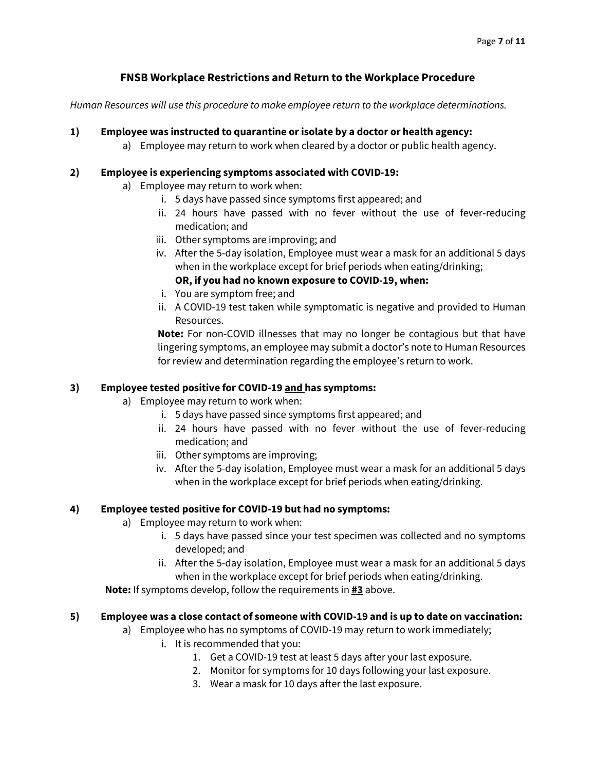## **FNSB Workplace Restrictions and Return to the Workplace Procedure**

*Human Resources will use this procedure to make employee return to the workplace determinations.* 

#### **1) Employee was instructed to quarantine or isolate by a doctor or health agency:**

a) Employee may return to work when cleared by a doctor or public health agency.

#### **2) Employee is experiencing symptoms associated with COVID-19:**

- a) Employee may return to work when:
	- i. 5 days have passed since symptoms first appeared; and
	- ii. 24 hours have passed with no fever without the use of fever-reducing medication; and
	- iii. Other symptoms are improving; and
	- iv. After the 5-day isolation, Employee must wear a mask for an additional 5 days when in the workplace except for brief periods when eating/drinking;

**OR, if you had no known exposure to COVID-19, when:**

- i. You are symptom free; and
- ii. A COVID-19 test taken while symptomatic is negative and provided to Human Resources.

**Note:** For non-COVID illnesses that may no longer be contagious but that have lingering symptoms, an employee may submit a doctor's note to Human Resources for review and determination regarding the employee's return to work.

#### **3) Employee tested positive for COVID-19 and has symptoms:**

- a) Employee may return to work when:
	- i. 5 days have passed since symptoms first appeared; and
	- ii. 24 hours have passed with no fever without the use of fever-reducing medication; and
	- iii. Other symptoms are improving;
	- iv. After the 5-day isolation, Employee must wear a mask for an additional 5 days when in the workplace except for brief periods when eating/drinking.

#### **4) Employee tested positive for COVID-19 but had no symptoms:**

- a) Employee may return to work when:
	- i. 5 days have passed since your test specimen was collected and no symptoms developed; and
	- ii. After the 5-day isolation, Employee must wear a mask for an additional 5 days when in the workplace except for brief periods when eating/drinking.

**Note:** If symptoms develop, follow the requirements in **#3** above.

#### **5) Employee was a close contact of someone with COVID-19 and is up to date on vaccination:**

- a) Employee who has no symptoms of COVID-19 may return to work immediately;
	- i. It is recommended that you:
		- 1. Get a COVID-19 test at least 5 days after your last exposure.
		- 2. Monitor for symptoms for 10 days following your last exposure.
		- 3. Wear a mask for 10 days after the last exposure.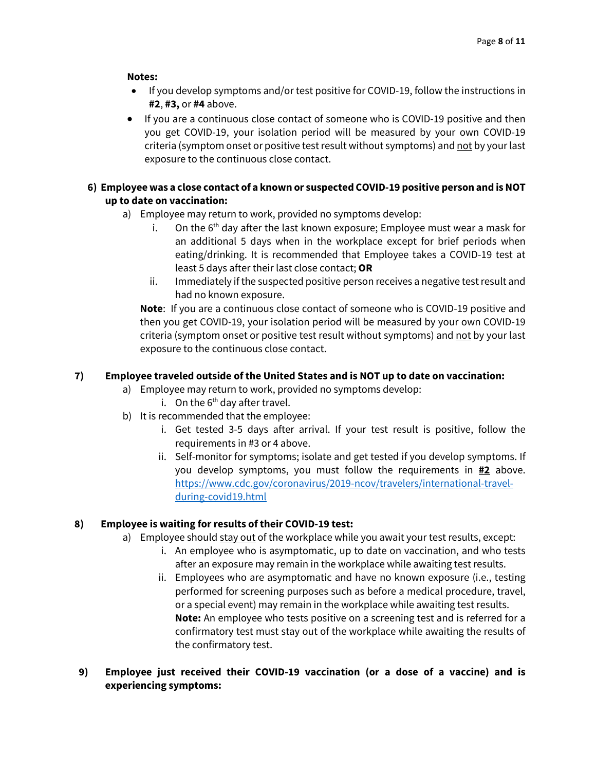#### **Notes:**

- If you develop symptoms and/or test positive for COVID-19, follow the instructions in **#2**, **#3,** or **#4** above.
- If you are a continuous close contact of someone who is COVID-19 positive and then you get COVID-19, your isolation period will be measured by your own COVID-19 criteria (symptom onset or positive test result without symptoms) and not by your last exposure to the continuous close contact.

## **6) Employee was a close contact of a known or suspected COVID-19 positive person and is NOT up to date on vaccination:**

- a) Employee may return to work, provided no symptoms develop:
	- i. On the  $6<sup>th</sup>$  day after the last known exposure; Employee must wear a mask for an additional 5 days when in the workplace except for brief periods when eating/drinking. It is recommended that Employee takes a COVID-19 test at least 5 days after their last close contact; **OR**
	- ii. Immediately if the suspected positive person receives a negative test result and had no known exposure.

**Note**: If you are a continuous close contact of someone who is COVID-19 positive and then you get COVID-19, your isolation period will be measured by your own COVID-19 criteria (symptom onset or positive test result without symptoms) and not by your last exposure to the continuous close contact.

#### **7) Employee traveled outside of the United States and is NOT up to date on vaccination:**

- a) Employee may return to work, provided no symptoms develop:
	- i. On the  $6<sup>th</sup>$  day after travel.
- b) It is recommended that the employee:
	- i. Get tested 3-5 days after arrival. If your test result is positive, follow the requirements in #3 or 4 above.
	- ii. Self-monitor for symptoms; isolate and get tested if you develop symptoms. If you develop symptoms, you must follow the requirements in **#2** above. [https://www.cdc.gov/coronavirus/2019-ncov/travelers/international-travel](https://www.cdc.gov/coronavirus/2019-ncov/travelers/international-travel-during-covid19.html)[during-covid19.html](https://www.cdc.gov/coronavirus/2019-ncov/travelers/international-travel-during-covid19.html)

#### **8) Employee is waiting for results of their COVID-19 test:**

- a) Employee should stay out of the workplace while you await your test results, except:
	- i. An employee who is asymptomatic, up to date on vaccination, and who tests after an exposure may remain in the workplace while awaiting test results.
	- ii. Employees who are asymptomatic and have no known exposure (i.e., testing performed for screening purposes such as before a medical procedure, travel, or a special event) may remain in the workplace while awaiting test results. **Note:** An employee who tests positive on a screening test and is referred for a confirmatory test must stay out of the workplace while awaiting the results of the confirmatory test.

## **9) Employee just received their COVID-19 vaccination (or a dose of a vaccine) and is experiencing symptoms:**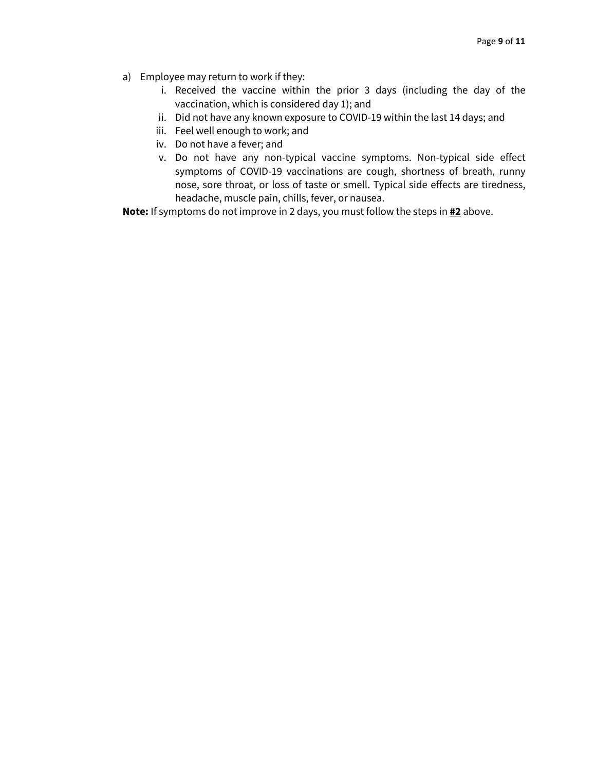- a) Employee may return to work if they:
	- i. Received the vaccine within the prior 3 days (including the day of the vaccination, which is considered day 1); and
	- ii. Did not have any known exposure to COVID-19 within the last 14 days; and
	- iii. Feel well enough to work; and
	- iv. Do not have a fever; and
	- v. Do not have any non-typical vaccine symptoms. Non-typical side effect symptoms of COVID-19 vaccinations are cough, shortness of breath, runny nose, sore throat, or loss of taste or smell. Typical side effects are tiredness, headache, muscle pain, chills, fever, or nausea.

**Note:** If symptoms do not improve in 2 days, you must follow the steps in **#2** above.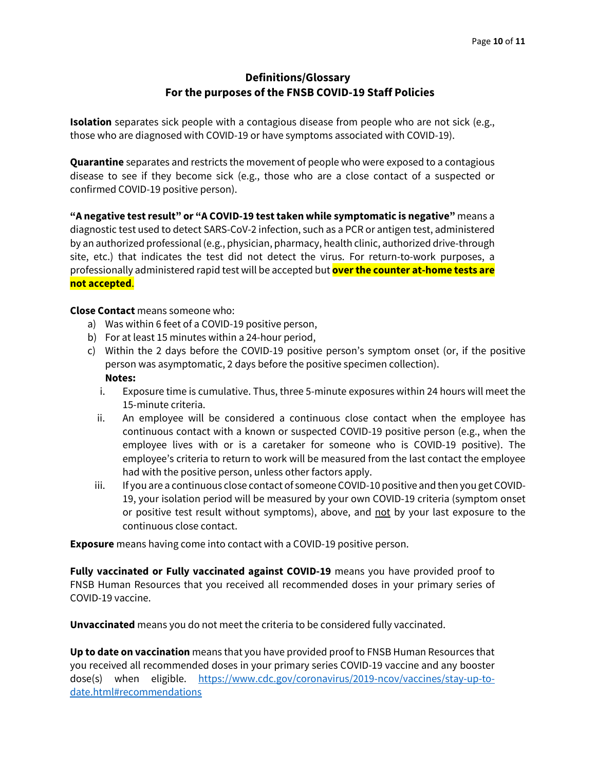# **Definitions/Glossary For the purposes of the FNSB COVID-19 Staff Policies**

**Isolation** separates sick people with a contagious disease from people who are not sick (e.g., those who are diagnosed with COVID-19 or have symptoms associated with COVID-19).

**Quarantine** separates and restricts the movement of people who were exposed to a contagious disease to see if they become sick (e.g., those who are a close contact of a suspected or confirmed COVID-19 positive person).

**"A negative test result" or "A COVID-19 test taken while symptomatic is negative"** means a diagnostic test used to detect SARS-CoV-2 infection, such as a PCR or antigen test, administered by an authorized professional (e.g., physician, pharmacy, health clinic, authorized drive-through site, etc.) that indicates the test did not detect the virus. For return-to-work purposes, a professionally administered rapid test will be accepted but **over the counter at-home tests are not accepted**.

#### **Close Contact** means someone who:

- a) Was within 6 feet of a COVID-19 positive person,
- b) For at least 15 minutes within a 24-hour period,
- c) Within the 2 days before the COVID-19 positive person's symptom onset (or, if the positive person was asymptomatic, 2 days before the positive specimen collection). **Notes:**
	- i. Exposure time is cumulative. Thus, three 5-minute exposures within 24 hours will meet the 15-minute criteria.
	- ii. An employee will be considered a continuous close contact when the employee has continuous contact with a known or suspected COVID-19 positive person (e.g., when the employee lives with or is a caretaker for someone who is COVID-19 positive). The employee's criteria to return to work will be measured from the last contact the employee had with the positive person, unless other factors apply.
- iii. If you are a continuous close contact of someone COVID-10 positive and then you get COVID-19, your isolation period will be measured by your own COVID-19 criteria (symptom onset or positive test result without symptoms), above, and not by your last exposure to the continuous close contact.

**Exposure** means having come into contact with a COVID-19 positive person.

**Fully vaccinated or Fully vaccinated against COVID-19** means you have provided proof to FNSB Human Resources that you received all recommended doses in your primary series of COVID-19 vaccine.

**Unvaccinated** means you do not meet the criteria to be considered fully vaccinated.

**Up to date on vaccination** means that you have provided proof to FNSB Human Resources that you received all recommended doses in your primary series COVID-19 vaccine and any booster dose(s) when eligible. [https://www.cdc.gov/coronavirus/2019-ncov/vaccines/stay-up-to](https://www.cdc.gov/coronavirus/2019-ncov/vaccines/stay-up-to-date.html#recommendations)[date.html#recommendations](https://www.cdc.gov/coronavirus/2019-ncov/vaccines/stay-up-to-date.html#recommendations)